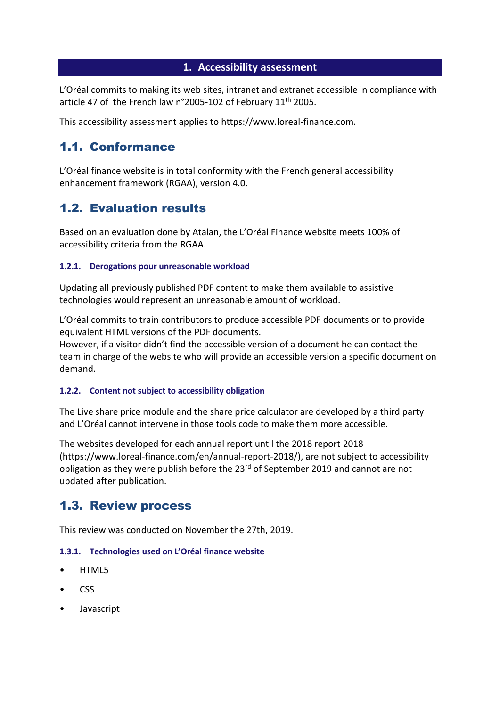### **1. Accessibility assessment**

L'Oréal commits to making its web sites, intranet and extranet accessible in compliance with article 47 of the French law n°2005-102 of February 11<sup>th</sup> 2005.

This accessibility assessment applies to https://www.loreal-finance.com.

## 1.1. Conformance

L'Oréal finance website is in total conformity with the French general accessibility enhancement framework (RGAA), version 4.0.

# 1.2. Evaluation results

Based on an evaluation done by Atalan, the L'Oréal Finance website meets 100% of accessibility criteria from the RGAA.

### **1.2.1. Derogations pour unreasonable workload**

Updating all previously published PDF content to make them available to assistive technologies would represent an unreasonable amount of workload.

L'Oréal commits to train contributors to produce accessible PDF documents or to provide equivalent HTML versions of the PDF documents.

However, if a visitor didn't find the accessible version of a document he can contact the team in charge of the website who will provide an accessible version a specific document on demand.

#### **1.2.2. Content not subject to accessibility obligation**

The Live share price module and the share price calculator are developed by a third party and L'Oréal cannot intervene in those tools code to make them more accessible.

The websites developed for each annual report until the 2018 report 2018 (https://www.loreal-finance.com/en/annual-report-2018/), are not subject to accessibility obligation as they were publish before the 23<sup>rd</sup> of September 2019 and cannot are not updated after publication.

## 1.3. Review process

This review was conducted on November the 27th, 2019.

#### **1.3.1. Technologies used on L'Oréal finance website**

- HTML5
- CSS
- Javascript